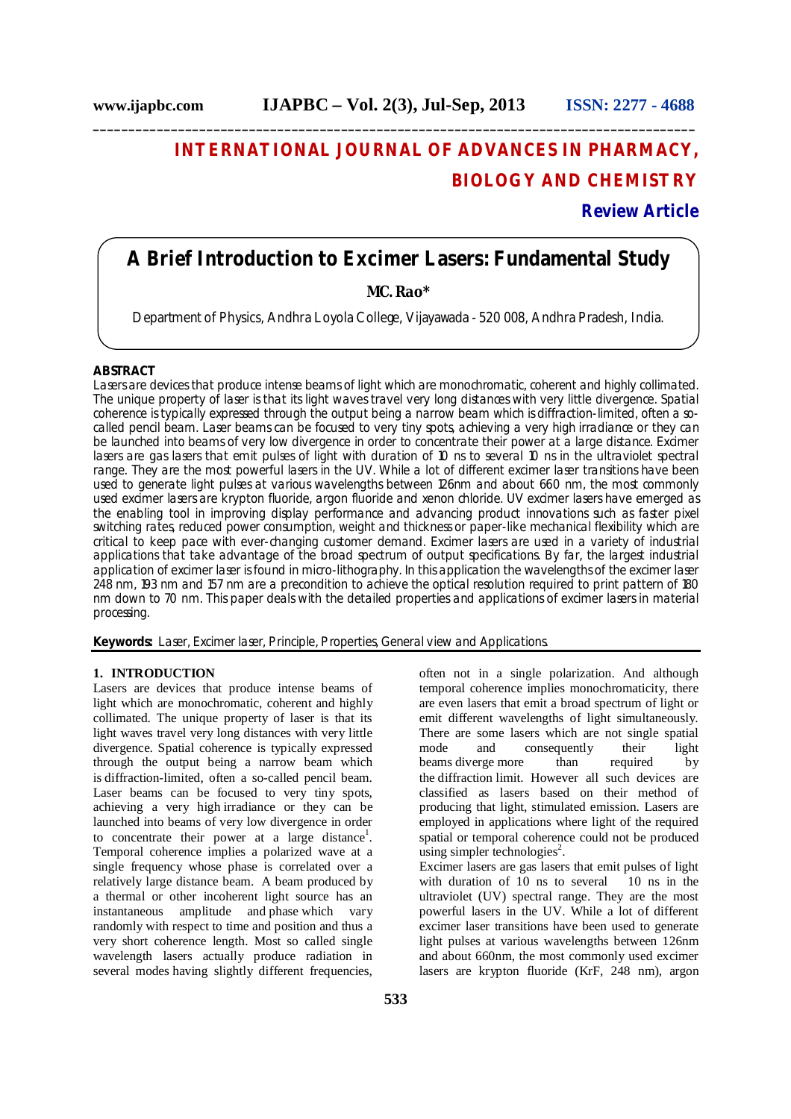# **INTERNATIONAL JOURNAL OF ADVANCES IN PHARMACY, BIOLOGY AND CHEMISTRY**

## **Review Article**

## **A Brief Introduction to Excimer Lasers: Fundamental Study**

**\_\_\_\_\_\_\_\_\_\_\_\_\_\_\_\_\_\_\_\_\_\_\_\_\_\_\_\_\_\_\_\_\_\_\_\_\_\_\_\_\_\_\_\_\_\_\_\_\_\_\_\_\_\_\_\_\_\_\_\_\_\_\_\_\_\_\_\_\_\_\_\_\_\_\_\_\_\_\_\_\_\_\_\_\_**

## **MC. Rao\***

Department of Physics, Andhra Loyola College, Vijayawada - 520 008, Andhra Pradesh, India.

## **ABSTRACT**

Lasers are devices that produce intense beams of light which are monochromatic, coherent and highly collimated. The unique property of laser is that its light waves travel very long distances with very little divergence. Spatial coherence is typically expressed through the output being a narrow beam which is diffraction-limited, often a socalled pencil beam. Laser beams can be focused to very tiny spots, achieving a very high irradiance or they can be launched into beams of very low divergence in order to concentrate their power at a large distance. Excimer lasers are gas lasers that emit pulses of light with duration of 10 ns to several 10 ns in the ultraviolet spectral range. They are the most powerful lasers in the UV. While a lot of different excimer laser transitions have been used to generate light pulses at various wavelengths between 126nm and about 660 nm, the most commonly used excimer lasers are krypton fluoride, argon fluoride and xenon chloride. UV excimer lasers have emerged as the enabling tool in improving display performance and advancing product innovations such as faster pixel switching rates, reduced power consumption, weight and thickness or paper-like mechanical flexibility which are critical to keep pace with ever-changing customer demand. Excimer lasers are used in a variety of industrial applications that take advantage of the broad spectrum of output specifications. By far, the largest industrial application of excimer laser is found in micro-lithography. In this application the wavelengths of the excimer laser 248 nm, 193 nm and 157 nm are a precondition to achieve the optical resolution required to print pattern of 180 nm down to 70 nm. This paper deals with the detailed properties and applications of excimer lasers in material processing.

**Keywords:** Laser, Excimer laser, Principle, Properties, General view and Applications.

## **1. INTRODUCTION**

Lasers are devices that produce intense beams of light which are monochromatic, coherent and highly collimated. The unique property of laser is that its light waves travel very long distances with very little divergence. Spatial coherence is typically expressed through the output being a narrow beam which is diffraction-limited, often a so-called pencil beam. Laser beams can be focused to very tiny spots, achieving a very high irradiance or they can be launched into beams of very low divergence in order to concentrate their power at a large distance<sup>1</sup>. Temporal coherence implies a polarized wave at a single frequency whose phase is correlated over a relatively large distance beam. A beam produced by a thermal or other incoherent light source has an instantaneous amplitude and phase which vary randomly with respect to time and position and thus a very short coherence length. Most so called single wavelength lasers actually produce radiation in several modes having slightly different frequencies,

temporal coherence implies monochromaticity, there are even lasers that emit a broad spectrum of light or emit different wavelengths of light simultaneously. There are some lasers which are not single spatial mode and consequently their light beams diverge more than required by the diffraction limit. However all such devices are classified as lasers based on their method of producing that light, stimulated emission. Lasers are employed in applications where light of the required spatial or temporal coherence could not be produced using simpler technologies<sup>2</sup>. Excimer lasers are gas lasers that emit pulses of light<br>with duration of 10 ns to several 10 ns in the with duration of  $10$  ns to several ultraviolet (UV) spectral range. They are the most powerful lasers in the UV. While a lot of different excimer laser transitions have been used to generate light pulses at various wavelengths between 126nm and about 660nm, the most commonly used excimer lasers are krypton fluoride (KrF, 248 nm), argon

often not in a single polarization. And although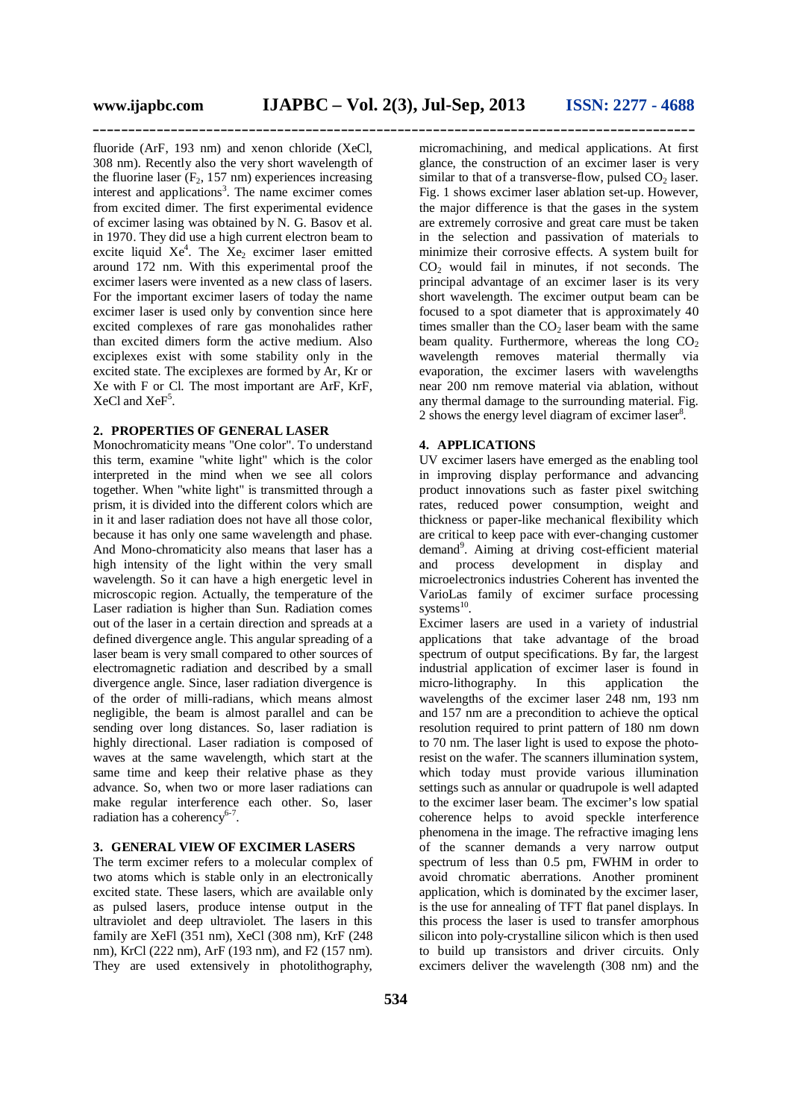**\_\_\_\_\_\_\_\_\_\_\_\_\_\_\_\_\_\_\_\_\_\_\_\_\_\_\_\_\_\_\_\_\_\_\_\_\_\_\_\_\_\_\_\_\_\_\_\_\_\_\_\_\_\_\_\_\_\_\_\_\_\_\_\_\_\_\_\_\_\_\_\_\_\_\_\_\_\_\_\_\_\_\_\_\_**

fluoride (ArF, 193 nm) and xenon chloride (XeCl, 308 nm). Recently also the very short wavelength of the fluorine laser  $(F_2, 157 \text{ nm})$  experiences increasing interest and applications<sup>3</sup>. The name excimer comes from excited dimer. The first experimental evidence of excimer lasing was obtained by N. G. Basov et al. in 1970. They did use a high current electron beam to excite liquid  $Xe^4$ . The  $Xe_2$  excimer laser emitted around 172 nm. With this experimental proof the excimer lasers were invented as a new class of lasers. For the important excimer lasers of today the name excimer laser is used only by convention since here excited complexes of rare gas monohalides rather than excited dimers form the active medium. Also exciplexes exist with some stability only in the excited state. The exciplexes are formed by Ar, Kr or Xe with F or Cl. The most important are ArF, KrF, XeCl and XeF<sup>5</sup>.

## **2. PROPERTIES OF GENERAL LASER**

Monochromaticity means "One color". To understand this term, examine "white light" which is the color interpreted in the mind when we see all colors together. When "white light" is transmitted through a prism, it is divided into the different colors which are in it and laser radiation does not have all those color, because it has only one same wavelength and phase. And Mono-chromaticity also means that laser has a high intensity of the light within the very small wavelength. So it can have a high energetic level in microscopic region. Actually, the temperature of the Laser radiation is higher than Sun. Radiation comes out of the laser in a certain direction and spreads at a defined divergence angle. This angular spreading of a laser beam is very small compared to other sources of electromagnetic radiation and described by a small divergence angle. Since, laser radiation divergence is of the order of milli-radians, which means almost negligible, the beam is almost parallel and can be sending over long distances. So, laser radiation is highly directional. Laser radiation is composed of waves at the same wavelength, which start at the same time and keep their relative phase as they advance. So, when two or more laser radiations can make regular interference each other. So, laser radiation has a coherency<sup>6-7</sup>.

#### **3. GENERAL VIEW OF EXCIMER LASERS**

The term excimer refers to a molecular complex of two atoms which is stable only in an electronically excited state. These lasers, which are available only as pulsed lasers, produce intense output in the ultraviolet and deep ultraviolet. The lasers in this family are XeFl (351 nm), XeCl (308 nm), KrF (248 nm), KrCl (222 nm), ArF (193 nm), and F2 (157 nm). They are used extensively in photolithography,

micromachining, and medical applications. At first glance, the construction of an excimer laser is very similar to that of a transverse-flow, pulsed  $CO<sub>2</sub>$  laser. Fig. 1 shows excimer laser ablation set-up. However, the major difference is that the gases in the system are extremely corrosive and great care must be taken in the selection and passivation of materials to minimize their corrosive effects. A system built for  $CO<sub>2</sub>$  would fail in minutes, if not seconds. The principal advantage of an excimer laser is its very short wavelength. The excimer output beam can be focused to a spot diameter that is approximately 40 times smaller than the  $CO<sub>2</sub>$  laser beam with the same beam quality. Furthermore, whereas the long  $CO<sub>2</sub>$ wavelength removes material thermally via evaporation, the excimer lasers with wavelengths near 200 nm remove material via ablation, without any thermal damage to the surrounding material. Fig. 2 shows the energy level diagram of excimer laser $8$ .

### **4. APPLICATIONS**

UV excimer lasers have emerged as the enabling tool in improving display performance and advancing product innovations such as faster pixel switching rates, reduced power consumption, weight and thickness or paper-like mechanical flexibility which are critical to keep pace with ever-changing customer demand<sup>9</sup>. Aiming at driving cost-efficient material and process development in display and microelectronics industries Coherent has invented the VarioLas family of excimer surface processing systems $^{10}$ .

Excimer lasers are used in a variety of industrial applications that take advantage of the broad spectrum of output specifications. By far, the largest industrial application of excimer laser is found in micro-lithography. In this application the wavelengths of the excimer laser 248 nm, 193 nm and 157 nm are a precondition to achieve the optical resolution required to print pattern of 180 nm down to 70 nm. The laser light is used to expose the photoresist on the wafer. The scanners illumination system, which today must provide various illumination settings such as annular or quadrupole is well adapted to the excimer laser beam. The excimer's low spatial coherence helps to avoid speckle interference phenomena in the image. The refractive imaging lens of the scanner demands a very narrow output spectrum of less than 0.5 pm, FWHM in order to avoid chromatic aberrations. Another prominent application, which is dominated by the excimer laser, is the use for annealing of TFT flat panel displays. In this process the laser is used to transfer amorphous silicon into poly-crystalline silicon which is then used to build up transistors and driver circuits. Only excimers deliver the wavelength (308 nm) and the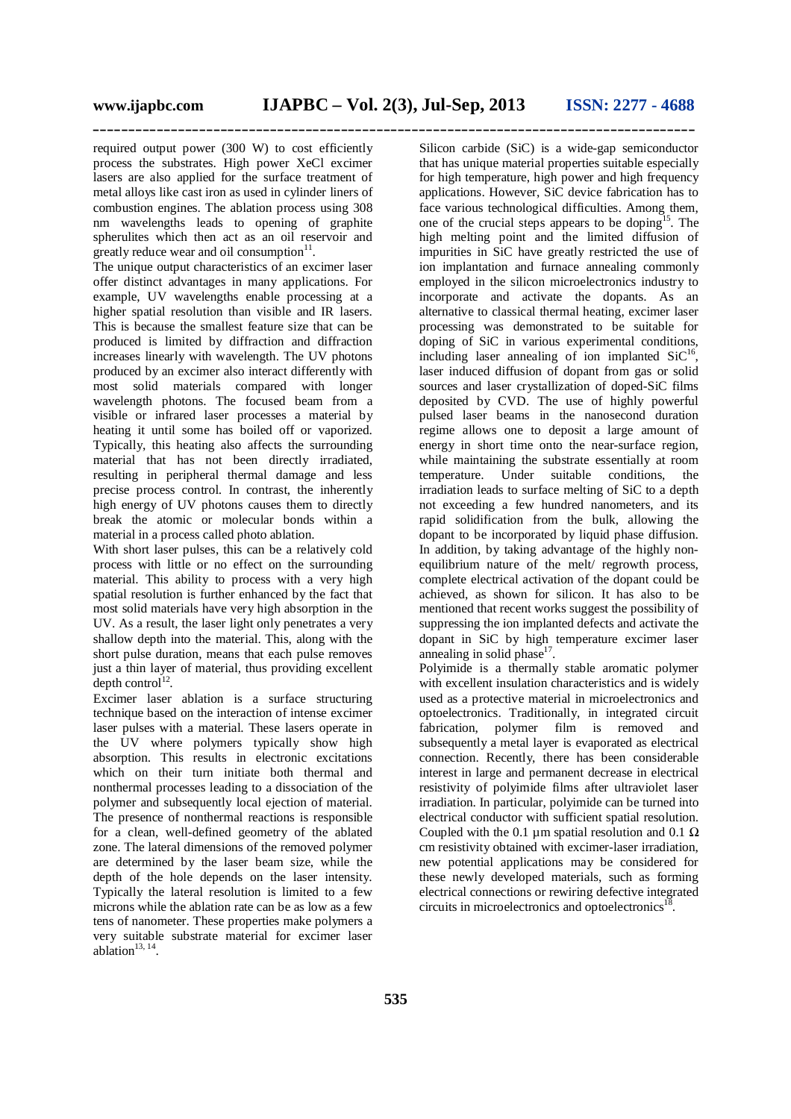**\_\_\_\_\_\_\_\_\_\_\_\_\_\_\_\_\_\_\_\_\_\_\_\_\_\_\_\_\_\_\_\_\_\_\_\_\_\_\_\_\_\_\_\_\_\_\_\_\_\_\_\_\_\_\_\_\_\_\_\_\_\_\_\_\_\_\_\_\_\_\_\_\_\_\_\_\_\_\_\_\_\_\_\_\_**

required output power (300 W) to cost efficiently process the substrates. High power XeCl excimer lasers are also applied for the surface treatment of metal alloys like cast iron as used in cylinder liners of combustion engines. The ablation process using 308 nm wavelengths leads to opening of graphite spherulites which then act as an oil reservoir and greatly reduce wear and oil consumption $11$ .

The unique output characteristics of an excimer laser offer distinct advantages in many applications. For example, UV wavelengths enable processing at a higher spatial resolution than visible and IR lasers. This is because the smallest feature size that can be produced is limited by diffraction and diffraction increases linearly with wavelength. The UV photons produced by an excimer also interact differently with most solid materials compared with longer wavelength photons. The focused beam from a visible or infrared laser processes a material by heating it until some has boiled off or vaporized. Typically, this heating also affects the surrounding material that has not been directly irradiated, resulting in peripheral thermal damage and less precise process control. In contrast, the inherently high energy of UV photons causes them to directly break the atomic or molecular bonds within a material in a process called photo ablation.

With short laser pulses, this can be a relatively cold process with little or no effect on the surrounding material. This ability to process with a very high spatial resolution is further enhanced by the fact that most solid materials have very high absorption in the UV. As a result, the laser light only penetrates a very shallow depth into the material. This, along with the short pulse duration, means that each pulse removes just a thin layer of material, thus providing excellent depth control<sup>12</sup>.

Excimer laser ablation is a surface structuring technique based on the interaction of intense excimer laser pulses with a material. These lasers operate in the UV where polymers typically show high absorption. This results in electronic excitations which on their turn initiate both thermal and nonthermal processes leading to a dissociation of the polymer and subsequently local ejection of material. The presence of nonthermal reactions is responsible for a clean, well-defined geometry of the ablated zone. The lateral dimensions of the removed polymer are determined by the laser beam size, while the depth of the hole depends on the laser intensity. Typically the lateral resolution is limited to a few microns while the ablation rate can be as low as a few tens of nanometer. These properties make polymers a very suitable substrate material for excimer laser ablation $13, 14$ .

Silicon carbide (SiC) is a wide-gap semiconductor that has unique material properties suitable especially for high temperature, high power and high frequency applications. However, SiC device fabrication has to face various technological difficulties. Among them, one of the crucial steps appears to be doping<sup>15</sup>. The high melting point and the limited diffusion of impurities in SiC have greatly restricted the use of ion implantation and furnace annealing commonly employed in the silicon microelectronics industry to incorporate and activate the dopants. As an alternative to classical thermal heating, excimer laser processing was demonstrated to be suitable for doping of SiC in various experimental conditions, including laser annealing of ion implanted  $SiC^{16}$ , laser induced diffusion of dopant from gas or solid sources and laser crystallization of doped-SiC films deposited by CVD. The use of highly powerful pulsed laser beams in the nanosecond duration regime allows one to deposit a large amount of energy in short time onto the near-surface region, while maintaining the substrate essentially at room temperature. Under suitable conditions, the irradiation leads to surface melting of SiC to a depth not exceeding a few hundred nanometers, and its rapid solidification from the bulk, allowing the dopant to be incorporated by liquid phase diffusion. In addition, by taking advantage of the highly nonequilibrium nature of the melt/ regrowth process, complete electrical activation of the dopant could be achieved, as shown for silicon. It has also to be mentioned that recent works suggest the possibility of suppressing the ion implanted defects and activate the dopant in SiC by high temperature excimer laser annealing in solid phase $17$ .

Polyimide is a thermally stable aromatic polymer with excellent insulation characteristics and is widely used as a protective material in microelectronics and optoelectronics. Traditionally, in integrated circuit fabrication, polymer film is removed and subsequently a metal layer is evaporated as electrical connection. Recently, there has been considerable interest in large and permanent decrease in electrical resistivity of polyimide films after ultraviolet laser irradiation. In particular, polyimide can be turned into electrical conductor with sufficient spatial resolution. Coupled with the 0.1 µm spatial resolution and 0.1  $\Omega$ cm resistivity obtained with excimer-laser irradiation, new potential applications may be considered for these newly developed materials, such as forming electrical connections or rewiring defective integrated circuits in microelectronics and optoelectronics $^{18}$ .